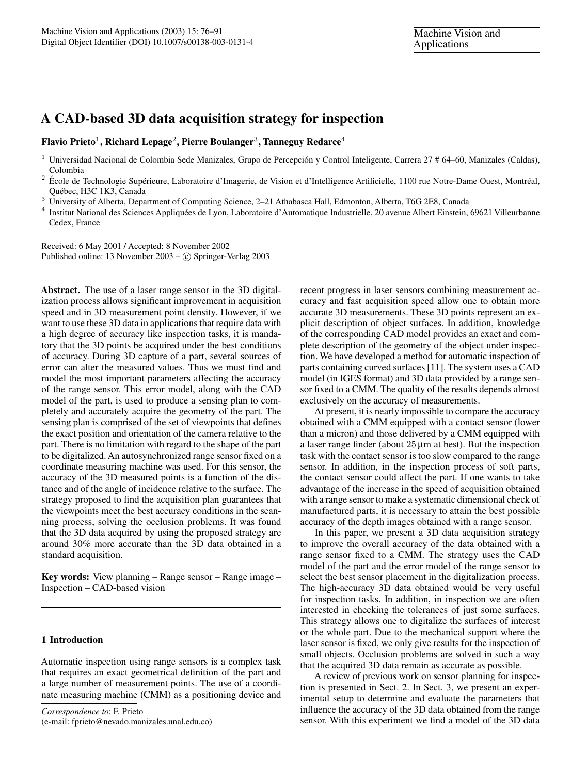# **A CAD-based 3D data acquisition strategy for inspection**

# **Flavio Prieto**<sup>1</sup>**, Richard Lepage**<sup>2</sup>**, Pierre Boulanger**<sup>3</sup>**, Tanneguy Redarce**<sup>4</sup>

- <sup>1</sup> Universidad Nacional de Colombia Sede Manizales, Grupo de Percepción y Control Inteligente, Carrera 27 # 64–60, Manizales (Caldas),
- Colombia<br><sup>2</sup> École de Technologie Supérieure, Laboratoire d'Imagerie, de Vision et d'Intelligence Artificielle, 1100 rue Notre-Dame Ouest, Montréal, Québec, H3C 1K3, Canada<br><sup>3</sup> University of Alberta, Department of Computing Science, 2–21 Athabasca Hall, Edmonton, Alberta, T6G 2E8, Canada<br><sup>4</sup> Institut National des Sciences Appliquées de Lyon, Laboratoire d'Automatique I
- 
- Cedex, France

Received: 6 May 2001 / Accepted: 8 November 2002 Published online: 13 November 2003 – © Springer-Verlag 2003

**Abstract.** The use of a laser range sensor in the 3D digitalization process allows significant improvement in acquisition speed and in 3D measurement point density. However, if we want to use these 3D data in applications that require data with a high degree of accuracy like inspection tasks, it is mandatory that the 3D points be acquired under the best conditions of accuracy. During 3D capture of a part, several sources of error can alter the measured values. Thus we must find and model the most important parameters affecting the accuracy of the range sensor. This error model, along with the CAD model of the part, is used to produce a sensing plan to completely and accurately acquire the geometry of the part. The sensing plan is comprised of the set of viewpoints that defines the exact position and orientation of the camera relative to the part. There is no limitation with regard to the shape of the part to be digitalized. An autosynchronized range sensor fixed on a coordinate measuring machine was used. For this sensor, the accuracy of the 3D measured points is a function of the distance and of the angle of incidence relative to the surface. The strategy proposed to find the acquisition plan guarantees that the viewpoints meet the best accuracy conditions in the scanning process, solving the occlusion problems. It was found that the 3D data acquired by using the proposed strategy are around 30% more accurate than the 3D data obtained in a standard acquisition.

**Key words:** View planning – Range sensor – Range image – Inspection – CAD-based vision

## **1 Introduction**

Automatic inspection using range sensors is a complex task that requires an exact geometrical definition of the part and a large number of measurement points. The use of a coordinate measuring machine (CMM) as a positioning device and

*Correspondence to*: F. Prieto (e-mail: fprieto@nevado.manizales.unal.edu.co) recent progress in laser sensors combining measurement accuracy and fast acquisition speed allow one to obtain more accurate 3D measurements. These 3D points represent an explicit description of object surfaces. In addition, knowledge of the corresponding CAD model provides an exact and complete description of the geometry of the object under inspection. We have developed a method for automatic inspection of parts containing curved surfaces [11]. The system uses a CAD model (in IGES format) and 3D data provided by a range sensor fixed to a CMM. The quality of the results depends almost exclusively on the accuracy of measurements.

At present, it is nearly impossible to compare the accuracy obtained with a CMM equipped with a contact sensor (lower than a micron) and those delivered by a CMM equipped with a laser range finder (about 25 µm at best). But the inspection task with the contact sensor is too slow compared to the range sensor. In addition, in the inspection process of soft parts, the contact sensor could affect the part. If one wants to take advantage of the increase in the speed of acquisition obtained with a range sensor to make a systematic dimensional check of manufactured parts, it is necessary to attain the best possible accuracy of the depth images obtained with a range sensor.

In this paper, we present a 3D data acquisition strategy to improve the overall accuracy of the data obtained with a range sensor fixed to a CMM. The strategy uses the CAD model of the part and the error model of the range sensor to select the best sensor placement in the digitalization process. The high-accuracy 3D data obtained would be very useful for inspection tasks. In addition, in inspection we are often interested in checking the tolerances of just some surfaces. This strategy allows one to digitalize the surfaces of interest or the whole part. Due to the mechanical support where the laser sensor is fixed, we only give results for the inspection of small objects. Occlusion problems are solved in such a way that the acquired 3D data remain as accurate as possible.

A review of previous work on sensor planning for inspection is presented in Sect. 2. In Sect. 3, we present an experimental setup to determine and evaluate the parameters that influence the accuracy of the 3D data obtained from the range sensor. With this experiment we find a model of the 3D data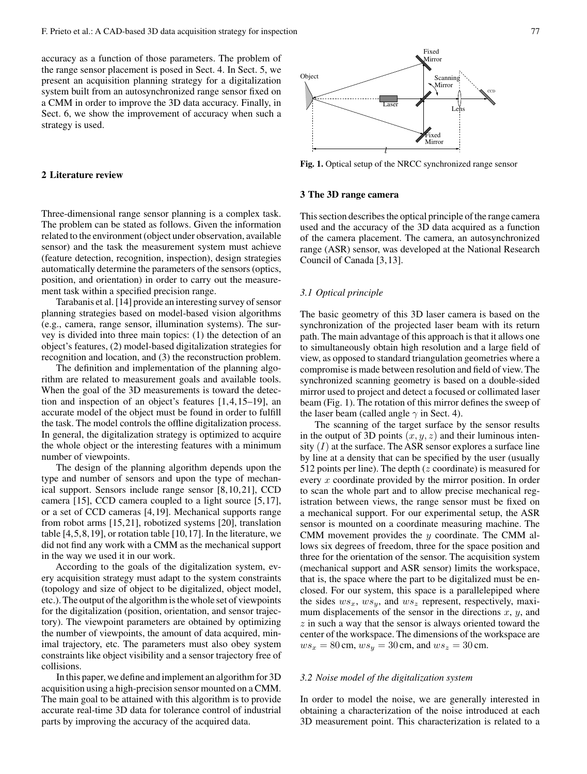accuracy as a function of those parameters. The problem of the range sensor placement is posed in Sect. 4. In Sect. 5, we present an acquisition planning strategy for a digitalization system built from an autosynchronized range sensor fixed on a CMM in order to improve the 3D data accuracy. Finally, in Sect. 6, we show the improvement of accuracy when such a strategy is used.

## **2 Literature review**

Three-dimensional range sensor planning is a complex task. The problem can be stated as follows. Given the information related to the environment (object under observation, available sensor) and the task the measurement system must achieve (feature detection, recognition, inspection), design strategies automatically determine the parameters of the sensors (optics, position, and orientation) in order to carry out the measurement task within a specified precision range.

Tarabanis et al. [14] provide an interesting survey of sensor planning strategies based on model-based vision algorithms (e.g., camera, range sensor, illumination systems). The survey is divided into three main topics: (1) the detection of an object's features, (2) model-based digitalization strategies for recognition and location, and (3) the reconstruction problem.

The definition and implementation of the planning algorithm are related to measurement goals and available tools. When the goal of the 3D measurements is toward the detection and inspection of an object's features [1,4,15–19], an accurate model of the object must be found in order to fulfill the task. The model controls the offline digitalization process. In general, the digitalization strategy is optimized to acquire the whole object or the interesting features with a minimum number of viewpoints.

The design of the planning algorithm depends upon the type and number of sensors and upon the type of mechanical support. Sensors include range sensor [8,10,21], CCD camera [15], CCD camera coupled to a light source [5,17], or a set of CCD cameras [4,19]. Mechanical supports range from robot arms [15,21], robotized systems [20], translation table [4,5,8,19], or rotation table [10,17]. In the literature, we did not find any work with a CMM as the mechanical support in the way we used it in our work.

According to the goals of the digitalization system, every acquisition strategy must adapt to the system constraints (topology and size of object to be digitalized, object model, etc.). The output of the algorithm is the whole set of viewpoints for the digitalization (position, orientation, and sensor trajectory). The viewpoint parameters are obtained by optimizing the number of viewpoints, the amount of data acquired, minimal trajectory, etc. The parameters must also obey system constraints like object visibility and a sensor trajectory free of collisions.

In this paper, we define and implement an algorithm for 3D acquisition using a high-precision sensor mounted on a CMM. The main goal to be attained with this algorithm is to provide accurate real-time 3D data for tolerance control of industrial parts by improving the accuracy of the acquired data.



**Fig. 1.** Optical setup of the NRCC synchronized range sensor

## **3 The 3D range camera**

This section describes the optical principle of the range camera used and the accuracy of the 3D data acquired as a function of the camera placement. The camera, an autosynchronized range (ASR) sensor, was developed at the National Research Council of Canada [3,13].

## *3.1 Optical principle*

The basic geometry of this 3D laser camera is based on the synchronization of the projected laser beam with its return path. The main advantage of this approach is that it allows one to simultaneously obtain high resolution and a large field of view, as opposed to standard triangulation geometries where a compromise is made between resolution and field of view. The synchronized scanning geometry is based on a double-sided mirror used to project and detect a focused or collimated laser beam (Fig. 1). The rotation of this mirror defines the sweep of the laser beam (called angle  $\gamma$  in Sect. 4).

The scanning of the target surface by the sensor results in the output of 3D points  $(x, y, z)$  and their luminous intensity  $(I)$  at the surface. The ASR sensor explores a surface line by line at a density that can be specified by the user (usually 512 points per line). The depth (z coordinate) is measured for every x coordinate provided by the mirror position. In order to scan the whole part and to allow precise mechanical registration between views, the range sensor must be fixed on a mechanical support. For our experimental setup, the ASR sensor is mounted on a coordinate measuring machine. The CMM movement provides the  $y$  coordinate. The CMM allows six degrees of freedom, three for the space position and three for the orientation of the sensor. The acquisition system (mechanical support and ASR sensor) limits the workspace, that is, the space where the part to be digitalized must be enclosed. For our system, this space is a parallelepiped where the sides  $ws_x$ ,  $ws_y$ , and  $ws_z$  represent, respectively, maximum displacements of the sensor in the directions  $x, y$ , and z in such a way that the sensor is always oriented toward the center of the workspace. The dimensions of the workspace are  $ws_x = 80 \text{ cm}, ws_y = 30 \text{ cm}, \text{ and } ws_z = 30 \text{ cm}.$ 

## *3.2 Noise model of the digitalization system*

In order to model the noise, we are generally interested in obtaining a characterization of the noise introduced at each 3D measurement point. This characterization is related to a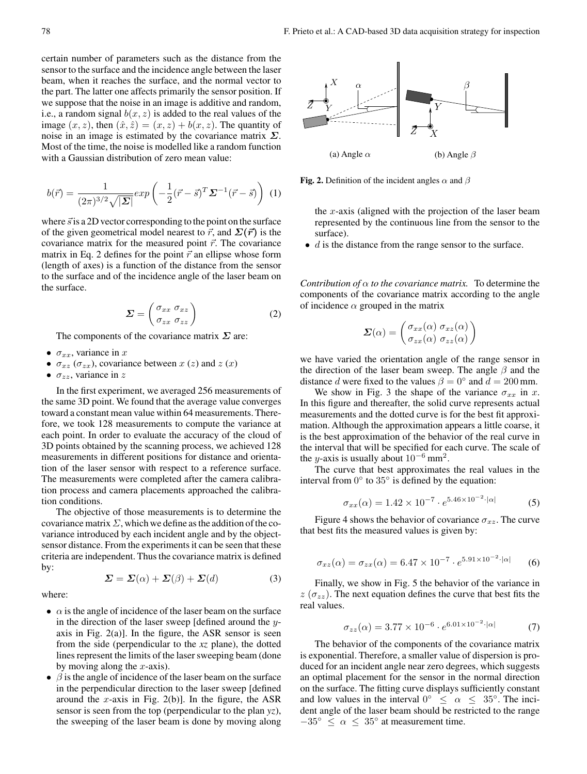certain number of parameters such as the distance from the sensor to the surface and the incidence angle between the laser beam, when it reaches the surface, and the normal vector to the part. The latter one affects primarily the sensor position. If we suppose that the noise in an image is additive and random, i.e., a random signal  $b(x, z)$  is added to the real values of the image  $(x, z)$ , then  $(\hat{x}, \hat{z}) = (x, z) + b(x, z)$ . The quantity of noise in an image is estimated by the covariance matrix *Σ*. Most of the time, the noise is modelled like a random function with a Gaussian distribution of zero mean value:

$$
b(\vec{r}) = \frac{1}{(2\pi)^{3/2}\sqrt{|\Sigma|}} exp\left(-\frac{1}{2}(\vec{r} - \vec{s})^T \Sigma^{-1}(\vec{r} - \vec{s})\right)
$$
(1)

where  $\vec{s}$  is a 2D vector corresponding to the point on the surface of the given geometrical model nearest to  $\vec{r}$ , and  $\Sigma(\vec{r})$  is the covariance matrix for the measured point  $\vec{r}$ . The covariance matrix in Eq. 2 defines for the point  $\vec{r}$  an ellipse whose form (length of axes) is a function of the distance from the sensor to the surface and of the incidence angle of the laser beam on the surface.

$$
\Sigma = \begin{pmatrix} \sigma_{xx} & \sigma_{xz} \\ \sigma_{zx} & \sigma_{zz} \end{pmatrix}
$$
 (2)

The components of the covariance matrix *Σ* are:

- $\sigma_{xx}$ , variance in x
- $\sigma_{xz}$  ( $\sigma_{zx}$ ), covariance between x (z) and z (x)
- $\sigma_{zz}$ , variance in z

In the first experiment, we averaged 256 measurements of the same 3D point. We found that the average value converges toward a constant mean value within 64 measurements. Therefore, we took 128 measurements to compute the variance at each point. In order to evaluate the accuracy of the cloud of 3D points obtained by the scanning process, we achieved 128 measurements in different positions for distance and orientation of the laser sensor with respect to a reference surface. The measurements were completed after the camera calibration process and camera placements approached the calibration conditions.

The objective of those measurements is to determine the covariance matrix  $\Sigma$ , which we define as the addition of the covariance introduced by each incident angle and by the objectsensor distance. From the experiments it can be seen that these criteria are independent. Thus the covariance matrix is defined by:

where:

$$
\Sigma = \Sigma(\alpha) + \Sigma(\beta) + \Sigma(d) \tag{3}
$$

- $\alpha$  is the angle of incidence of the laser beam on the surface in the direction of the laser sweep [defined around the yaxis in Fig.  $2(a)$ ]. In the figure, the ASR sensor is seen from the side (perpendicular to the *xz* plane), the dotted lines represent the limits of the laser sweeping beam (done by moving along the  $x$ -axis).
- $\beta$  is the angle of incidence of the laser beam on the surface in the perpendicular direction to the laser sweep [defined around the x-axis in Fig.  $2(b)$ ]. In the figure, the ASR sensor is seen from the top (perpendicular to the plan *yz*), the sweeping of the laser beam is done by moving along



**Fig. 2.** Definition of the incident angles  $\alpha$  and  $\beta$ 

the  $x$ -axis (aligned with the projection of the laser beam represented by the continuous line from the sensor to the surface).

 $\bullet$  d is the distance from the range sensor to the surface.

*Contribution of*  $\alpha$  *to the covariance matrix.* To determine the components of the covariance matrix according to the angle of incidence  $\alpha$  grouped in the matrix

$$
\mathbf{\Sigma}(\alpha) = \begin{pmatrix} \sigma_{xx}(\alpha) & \sigma_{xz}(\alpha) \\ \sigma_{zx}(\alpha) & \sigma_{zz}(\alpha) \end{pmatrix}
$$

we have varied the orientation angle of the range sensor in the direction of the laser beam sweep. The angle  $\beta$  and the distance d were fixed to the values  $\beta = 0^{\circ}$  and  $d = 200$  mm.

We show in Fig. 3 the shape of the variance  $\sigma_{xx}$  in x. In this figure and thereafter, the solid curve represents actual measurements and the dotted curve is for the best fit approximation. Although the approximation appears a little coarse, it is the best approximation of the behavior of the real curve in the interval that will be specified for each curve. The scale of the y-axis is usually about  $10^{-6}$  mm<sup>2</sup>.

The curve that best approximates the real values in the interval from 0◦ to 35◦ is defined by the equation:

$$
\sigma_{xx}(\alpha) = 1.42 \times 10^{-7} \cdot e^{5.46 \times 10^{-2} \cdot |\alpha|} \tag{5}
$$

Figure 4 shows the behavior of covariance  $\sigma_{xz}$ . The curve that best fits the measured values is given by:

$$
\sigma_{xz}(\alpha) = \sigma_{zx}(\alpha) = 6.47 \times 10^{-7} \cdot e^{5.91 \times 10^{-2} \cdot |\alpha|} \tag{6}
$$

Finally, we show in Fig. 5 the behavior of the variance in  $z(\sigma_{zz})$ . The next equation defines the curve that best fits the real values.

$$
\sigma_{zz}(\alpha) = 3.77 \times 10^{-6} \cdot e^{6.01 \times 10^{-2} \cdot |\alpha|} \tag{7}
$$

The behavior of the components of the covariance matrix is exponential. Therefore, a smaller value of dispersion is produced for an incident angle near zero degrees, which suggests an optimal placement for the sensor in the normal direction on the surface. The fitting curve displays sufficiently constant and low values in the interval  $0° \le \alpha \le 35°$ . The incident angle of the laser beam should be restricted to the range  $-35^\circ \leq \alpha \leq 35^\circ$  at measurement time.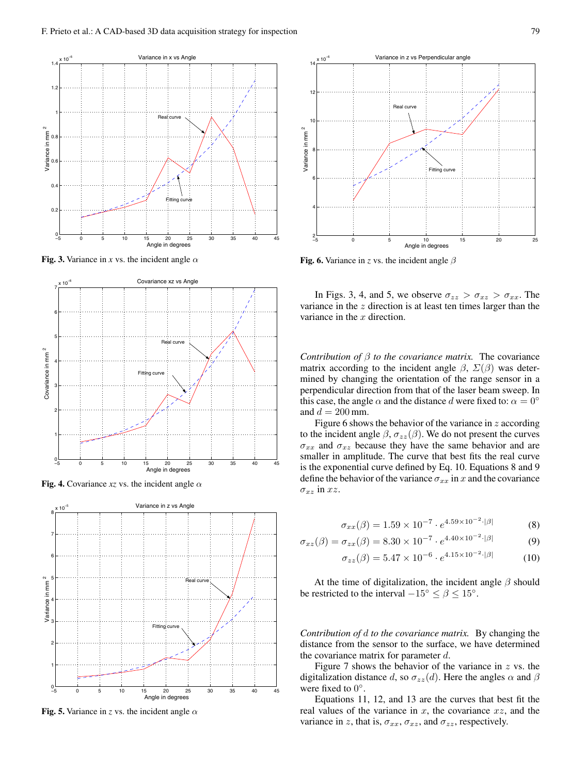

**Fig. 3.** Variance in *x* vs. the incident angle  $\alpha$ 



**Fig. 4.** Covariance  $xz$  vs. the incident angle  $\alpha$ 



**Fig. 5.** Variance in *z* vs. the incident angle  $\alpha$ 



**Fig. 6.** Variance in *z* vs. the incident angle  $\beta$ 

In Figs. 3, 4, and 5, we observe  $\sigma_{zz} > \sigma_{xz} > \sigma_{xx}$ . The variance in the  $z$  direction is at least ten times larger than the variance in the  $x$  direction.

*Contribution of* β *to the covariance matrix.* The covariance matrix according to the incident angle  $\beta$ ,  $\Sigma(\beta)$  was determined by changing the orientation of the range sensor in a perpendicular direction from that of the laser beam sweep. In this case, the angle  $\alpha$  and the distance d were fixed to:  $\alpha = 0^{\circ}$ and  $d = 200$  mm.

Figure 6 shows the behavior of the variance in  $z$  according to the incident angle  $\beta$ ,  $\sigma_{zz}(\beta)$ . We do not present the curves  $\sigma_{xx}$  and  $\sigma_{xz}$  because they have the same behavior and are smaller in amplitude. The curve that best fits the real curve is the exponential curve defined by Eq. 10. Equations 8 and 9 define the behavior of the variance  $\sigma_{xx}$  in x and the covariance  $\sigma_{xz}$  in  $xz$ .

$$
\sigma_{xx}(\beta) = 1.59 \times 10^{-7} \cdot e^{4.59 \times 10^{-2} \cdot |\beta|} \tag{8}
$$

$$
\sigma_{xz}(\beta) = \sigma_{zx}(\beta) = 8.30 \times 10^{-7} \cdot e^{4.40 \times 10^{-2} \cdot |\beta|}
$$
 (9)

$$
\sigma_{zz}(\beta) = 5.47 \times 10^{-6} \cdot e^{4.15 \times 10^{-2} \cdot |\beta|} \tag{10}
$$

At the time of digitalization, the incident angle  $\beta$  should be restricted to the interval  $-15° \le \beta \le 15°$ .

*Contribution of* d *to the covariance matrix.* By changing the distance from the sensor to the surface, we have determined the covariance matrix for parameter  $d$ .

Figure 7 shows the behavior of the variance in  $z$  vs. the digitalization distance d, so  $\sigma_{zz}(d)$ . Here the angles  $\alpha$  and  $\beta$ were fixed to 0<sup>°</sup>.

Equations 11, 12, and 13 are the curves that best fit the real values of the variance in  $x$ , the covariance  $xz$ , and the variance in z, that is,  $\sigma_{xx}$ ,  $\sigma_{xz}$ , and  $\sigma_{zz}$ , respectively.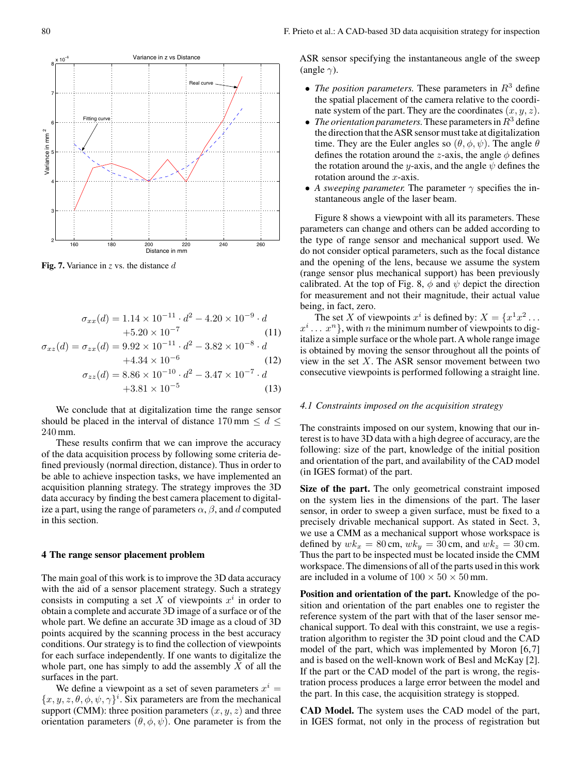

**Fig. 7.** Variance in *z* vs. the distance d

$$
\sigma_{xx}(d) = 1.14 \times 10^{-11} \cdot d^2 - 4.20 \times 10^{-9} \cdot d
$$
  
+5.20 \times 10^{-7} (11)

$$
\sigma_{xz}(d) = \sigma_{zx}(d) = 9.92 \times 10^{-11} \cdot d^2 - 3.82 \times 10^{-8} \cdot d
$$
  
+4.34 × 10<sup>-6</sup> (12)

$$
\sigma_{zz}(d) = 8.86 \times 10^{-10} \cdot d^2 - 3.47 \times 10^{-7} \cdot d
$$
  
+3.81 \times 10^{-5} (13)

We conclude that at digitalization time the range sensor should be placed in the interval of distance 170 mm  $\leq d \leq$ 240 mm.

These results confirm that we can improve the accuracy of the data acquisition process by following some criteria defined previously (normal direction, distance). Thus in order to be able to achieve inspection tasks, we have implemented an acquisition planning strategy. The strategy improves the 3D data accuracy by finding the best camera placement to digitalize a part, using the range of parameters  $\alpha$ ,  $\beta$ , and d computed in this section.

## **4 The range sensor placement problem**

The main goal of this work is to improve the 3D data accuracy with the aid of a sensor placement strategy. Such a strategy consists in computing a set X of viewpoints  $x^i$  in order to obtain a complete and accurate 3D image of a surface or of the whole part. We define an accurate 3D image as a cloud of 3D points acquired by the scanning process in the best accuracy conditions. Our strategy is to find the collection of viewpoints for each surface independently. If one wants to digitalize the whole part, one has simply to add the assembly  $X$  of all the surfaces in the part.

We define a viewpoint as a set of seven parameters  $x^i =$  ${x, y, z, \theta, \phi, \psi, \gamma}$ <sup>i</sup>. Six parameters are from the mechanical support (CMM): three position parameters  $(x, y, z)$  and three orientation parameters  $(\theta, \phi, \psi)$ . One parameter is from the ASR sensor specifying the instantaneous angle of the sweep (angle  $\gamma$ ).

- *The position parameters*. These parameters in  $R<sup>3</sup>$  define the spatial placement of the camera relative to the coordinate system of the part. They are the coordinates  $(x, y, z)$ .
- *The orientation parameters.* These parameters in  $R^3$  define the direction that theASR sensor must take at digitalization time. They are the Euler angles so  $(\theta, \phi, \psi)$ . The angle  $\theta$ defines the rotation around the z-axis, the angle  $\phi$  defines the rotation around the y-axis, and the angle  $\psi$  defines the rotation around the  $x$ -axis.
- *A sweeping parameter.* The parameter  $\gamma$  specifies the instantaneous angle of the laser beam.

Figure 8 shows a viewpoint with all its parameters. These parameters can change and others can be added according to the type of range sensor and mechanical support used. We do not consider optical parameters, such as the focal distance and the opening of the lens, because we assume the system (range sensor plus mechanical support) has been previously calibrated. At the top of Fig. 8,  $\phi$  and  $\psi$  depict the direction for measurement and not their magnitude, their actual value being, in fact, zero.

The set X of viewpoints  $x^i$  is defined by:  $X = \{x^1x^2 \dots$  $x^i \dots x^n$ , with *n* the minimum number of viewpoints to digitalize a simple surface or the whole part.A whole range image is obtained by moving the sensor throughout all the points of view in the set  $X$ . The ASR sensor movement between two consecutive viewpoints is performed following a straight line.

## *4.1 Constraints imposed on the acquisition strategy*

The constraints imposed on our system, knowing that our interest is to have 3D data with a high degree of accuracy, are the following: size of the part, knowledge of the initial position and orientation of the part, and availability of the CAD model (in IGES format) of the part.

**Size of the part.** The only geometrical constraint imposed on the system lies in the dimensions of the part. The laser sensor, in order to sweep a given surface, must be fixed to a precisely drivable mechanical support. As stated in Sect. 3, we use a CMM as a mechanical support whose workspace is defined by  $wk_x = 80 \text{ cm}, wk_y = 30 \text{ cm}, \text{ and } wk_z = 30 \text{ cm}.$ Thus the part to be inspected must be located inside the CMM workspace. The dimensions of all of the parts used in this work are included in a volume of  $100 \times 50 \times 50$  mm.

**Position and orientation of the part.** Knowledge of the position and orientation of the part enables one to register the reference system of the part with that of the laser sensor mechanical support. To deal with this constraint, we use a registration algorithm to register the 3D point cloud and the CAD model of the part, which was implemented by Moron [6,7] and is based on the well-known work of Besl and McKay [2]. If the part or the CAD model of the part is wrong, the registration process produces a large error between the model and the part. In this case, the acquisition strategy is stopped.

**CAD Model.** The system uses the CAD model of the part, in IGES format, not only in the process of registration but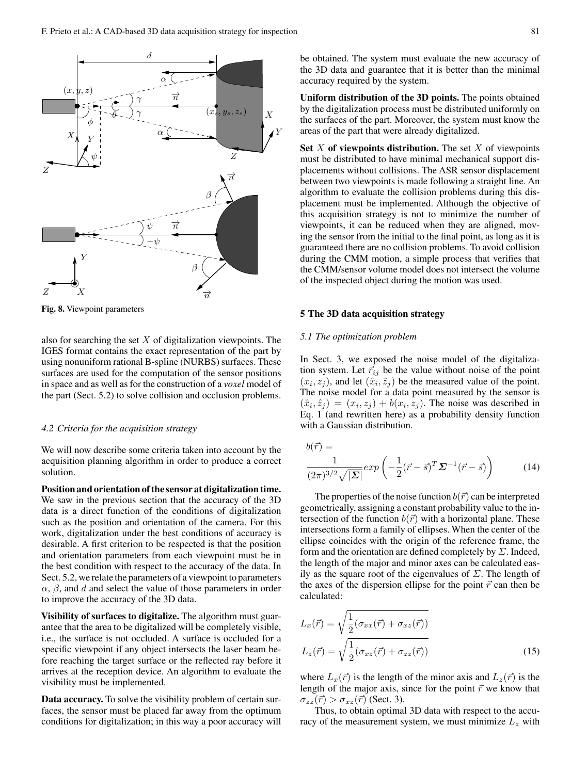

**Fig. 8.** Viewpoint parameters

also for searching the set  $X$  of digitalization viewpoints. The IGES format contains the exact representation of the part by using nonuniform rational B-spline (NURBS) surfaces. These surfaces are used for the computation of the sensor positions in space and as well as for the construction of a *voxel* model of the part (Sect. 5.2) to solve collision and occlusion problems.

# *4.2 Criteria for the acquisition strategy*

We will now describe some criteria taken into account by the acquisition planning algorithm in order to produce a correct solution.

**Position and orientation of the sensor at digitalization time.** We saw in the previous section that the accuracy of the 3D data is a direct function of the conditions of digitalization such as the position and orientation of the camera. For this work, digitalization under the best conditions of accuracy is desirable. A first criterion to be respected is that the position and orientation parameters from each viewpoint must be in the best condition with respect to the accuracy of the data. In Sect. 5.2, we relate the parameters of a viewpoint to parameters  $\alpha$ ,  $\beta$ , and d and select the value of those parameters in order to improve the accuracy of the 3D data.

**Visibility of surfaces to digitalize.** The algorithm must guarantee that the area to be digitalized will be completely visible, i.e., the surface is not occluded. A surface is occluded for a specific viewpoint if any object intersects the laser beam before reaching the target surface or the reflected ray before it arrives at the reception device. An algorithm to evaluate the visibility must be implemented.

**Data accuracy.** To solve the visibility problem of certain surfaces, the sensor must be placed far away from the optimum conditions for digitalization; in this way a poor accuracy will be obtained. The system must evaluate the new accuracy of the 3D data and guarantee that it is better than the minimal accuracy required by the system.

**Uniform distribution of the 3D points.** The points obtained by the digitalization process must be distributed uniformly on the surfaces of the part. Moreover, the system must know the areas of the part that were already digitalized.

**Set** X **of viewpoints distribution.** The set X of viewpoints must be distributed to have minimal mechanical support displacements without collisions. The ASR sensor displacement between two viewpoints is made following a straight line. An algorithm to evaluate the collision problems during this displacement must be implemented. Although the objective of this acquisition strategy is not to minimize the number of viewpoints, it can be reduced when they are aligned, moving the sensor from the initial to the final point, as long as it is guaranteed there are no collision problems. To avoid collision during the CMM motion, a simple process that verifies that the CMM/sensor volume model does not intersect the volume of the inspected object during the motion was used.

## **5 The 3D data acquisition strategy**

## *5.1 The optimization problem*

In Sect. 3, we exposed the noise model of the digitalization system. Let  $\vec{r}_{ij}$  be the value without noise of the point  $(x_i, z_j)$ , and let  $(\hat{x}_i, \hat{z}_j)$  be the measured value of the point. The noise model for a data point measured by the sensor is  $(\hat{x}_i, \hat{z}_j) = (x_i, z_j) + b(x_i, z_j)$ . The noise was described in Eq. 1 (and rewritten here) as a probability density function with a Gaussian distribution.

$$
b(\vec{r}) = \frac{1}{(2\pi)^{3/2}\sqrt{|\Sigma|}} exp\left(-\frac{1}{2}(\vec{r} - \vec{s})^T \Sigma^{-1}(\vec{r} - \vec{s})\right)
$$
(14)

The properties of the noise function  $b(\vec{r})$  can be interpreted geometrically, assigning a constant probability value to the intersection of the function  $b(\vec{r})$  with a horizontal plane. These intersections form a family of ellipses. When the center of the ellipse coincides with the origin of the reference frame, the form and the orientation are defined completely by  $\Sigma$ . Indeed, the length of the major and minor axes can be calculated easily as the square root of the eigenvalues of  $\Sigma$ . The length of the axes of the dispersion ellipse for the point  $\vec{r}$  can then be calculated:

$$
L_x(\vec{r}) = \sqrt{\frac{1}{2} (\sigma_{xx}(\vec{r}) + \sigma_{xz}(\vec{r}))}
$$

$$
L_z(\vec{r}) = \sqrt{\frac{1}{2} (\sigma_{xz}(\vec{r}) + \sigma_{zz}(\vec{r}))}
$$
(15)

where  $L_x(\vec{r})$  is the length of the minor axis and  $L_z(\vec{r})$  is the length of the major axis, since for the point  $\vec{r}$  we know that  $\sigma_{zz}(\vec{r}) > \sigma_{xz}(\vec{r})$  (Sect. 3).

Thus, to obtain optimal 3D data with respect to the accuracy of the measurement system, we must minimize  $L_z$  with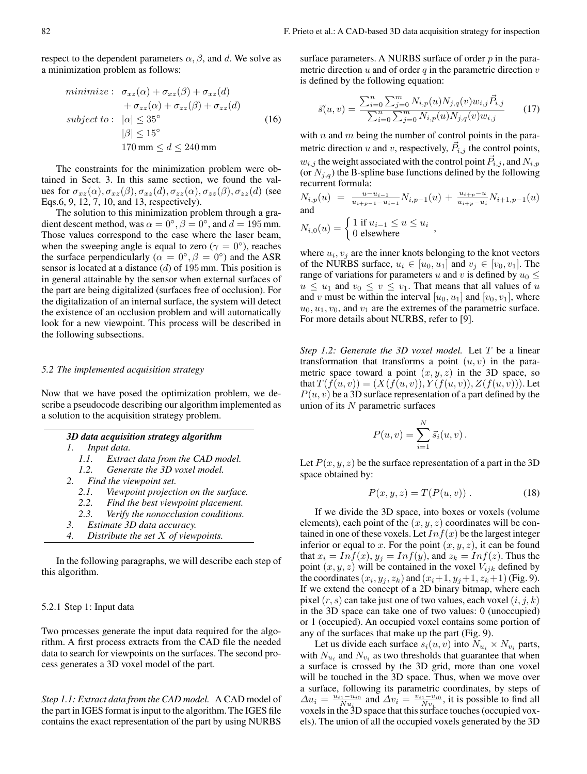respect to the dependent parameters  $\alpha$ ,  $\beta$ , and d. We solve as a minimization problem as follows:

$$
\begin{aligned}\n\text{minimize:} & \quad \sigma_{xz}(\alpha) + \sigma_{xz}(\beta) + \sigma_{xz}(d) \\
&+ \sigma_{zz}(\alpha) + \sigma_{zz}(\beta) + \sigma_{zz}(d) \\
\text{subject to:} & \quad |\alpha| \le 35^{\circ} \\
& |\beta| \le 15^{\circ} \\
& 170 \,\text{mm} \le d \le 240 \,\text{mm}\n\end{aligned} \tag{16}
$$

The constraints for the minimization problem were obtained in Sect. 3. In this same section, we found the values for  $\sigma_{xz}(\alpha)$ ,  $\sigma_{xz}(\beta)$ ,  $\sigma_{xz}(d)$ ,  $\sigma_{zz}(\alpha)$ ,  $\sigma_{zz}(\beta)$ ,  $\sigma_{zz}(d)$  (see Eqs.6, 9, 12, 7, 10, and 13, respectively).

The solution to this minimization problem through a gradient descent method, was  $\alpha = 0^{\circ}$ ,  $\beta = 0^{\circ}$ , and  $d = 195$  mm. Those values correspond to the case where the laser beam, when the sweeping angle is equal to zero ( $\gamma = 0^{\circ}$ ), reaches the surface perpendicularly ( $\alpha = 0^{\circ}, \beta = 0^{\circ}$ ) and the ASR sensor is located at a distance (d) of 195 mm. This position is in general attainable by the sensor when external surfaces of the part are being digitalized (surfaces free of occlusion). For the digitalization of an internal surface, the system will detect the existence of an occlusion problem and will automatically look for a new viewpoint. This process will be described in the following subsections.

## *5.2 The implemented acquisition strategy*

Now that we have posed the optimization problem, we describe a pseudocode describing our algorithm implemented as a solution to the acquisition strategy problem.

| 3D data acquisition strategy algorithm    |
|-------------------------------------------|
| 1. Input data.                            |
| Extract data from the CAD model.<br>1.1.  |
| Generate the 3D voxel model.<br>1.2.      |
| 2. Find the viewpoint set.                |
| 2.1. Viewpoint projection on the surface. |
| 2.2. Find the best viewpoint placement.   |
| 2.3. Verify the nonocclusion conditions.  |
| 3. Estimate 3D data accuracy.             |
| 4. Distribute the set $X$ of viewpoints.  |

In the following paragraphs, we will describe each step of this algorithm.

## 5.2.1 Step 1: Input data

Two processes generate the input data required for the algorithm. A first process extracts from the CAD file the needed data to search for viewpoints on the surfaces. The second process generates a 3D voxel model of the part.

*Step 1.1: Extract data from the CAD model.* A CAD model of the part in IGES format is input to the algorithm. The IGES file contains the exact representation of the part by using NURBS surface parameters. A NURBS surface of order  $p$  in the parametric direction  $u$  and of order  $q$  in the parametric direction  $v$ is defined by the following equation:

$$
\vec{s}(u,v) = \frac{\sum_{i=0}^{n} \sum_{j=0}^{m} N_{i,p}(u) N_{j,q}(v) w_{i,j} \vec{P}_{i,j}}{\sum_{i=0}^{n} \sum_{j=0}^{m} N_{i,p}(u) N_{j,q}(v) w_{i,j}}
$$
(17)

with  $n$  and  $m$  being the number of control points in the parametric direction u and v, respectively,  $\vec{P}_{i,j}$  the control points,  $w_{i,j}$  the weight associated with the control point  $\vec{P}_{i,j}$ , and  $N_{i,p}$ (or  $N_{j,q}$ ) the B-spline base functions defined by the following recurrent formula:

$$
N_{i,p}(u) = \frac{u - u_{i-1}}{u_{i+p-1} - u_{i-1}} N_{i,p-1}(u) + \frac{u_{i+p} - u}{u_{i+p} - u_i} N_{i+1,p-1}(u)
$$
  
and

$$
N_{i,0}(u) = \begin{cases} 1 \text{ if } u_{i-1} \le u \le u_i \\ 0 \text{ elsewhere} \end{cases}
$$

where  $u_i, v_j$  are the inner knots belonging to the knot vectors of the NURBS surface,  $u_i \in [u_0, u_1]$  and  $v_j \in [v_0, v_1]$ . The range of variations for parameters u and v is defined by  $u_0 \leq$  $u \leq u_1$  and  $v_0 \leq v \leq v_1$ . That means that all values of u and v must be within the interval  $[u_0, u_1]$  and  $[v_0, v_1]$ , where  $u_0, u_1, v_0$ , and  $v_1$  are the extremes of the parametric surface. For more details about NURBS, refer to [9].

*Step 1.2: Generate the 3D voxel model.* Let T be a linear transformation that transforms a point  $(u, v)$  in the parametric space toward a point  $(x, y, z)$  in the 3D space, so that  $T(f(u, v)) = (X(f(u, v)), Y(f(u, v)), Z(f(u, v))).$  Let  $P(u, v)$  be a 3D surface representation of a part defined by the union of its  $N$  parametric surfaces

$$
P(u, v) = \sum_{i=1}^{N} \vec{s}_i(u, v) .
$$

Let  $P(x, y, z)$  be the surface representation of a part in the 3D space obtained by:

$$
P(x, y, z) = T(P(u, v)) . \tag{18}
$$

If we divide the 3D space, into boxes or voxels (volume elements), each point of the  $(x, y, z)$  coordinates will be contained in one of these voxels. Let  $Inf(x)$  be the largest integer inferior or equal to x. For the point  $(x, y, z)$ , it can be found that  $x_i = Inf(x)$ ,  $y_i = Inf(y)$ , and  $z_k = Inf(z)$ . Thus the point  $(x, y, z)$  will be contained in the voxel  $V_{iik}$  defined by the coordinates  $(x_i, y_j, z_k)$  and  $(x_i+1, y_j+1, z_k+1)$  (Fig. 9). If we extend the concept of a 2D binary bitmap, where each pixel  $(r, s)$  can take just one of two values, each voxel  $(i, j, k)$ in the 3D space can take one of two values: 0 (unoccupied) or 1 (occupied). An occupied voxel contains some portion of any of the surfaces that make up the part (Fig. 9).

Let us divide each surface  $s_i(u, v)$  into  $N_{u_i} \times N_{v_i}$  parts, with  $N_{u_i}$  and  $N_{v_i}$  as two thresholds that guarantee that when a surface is crossed by the 3D grid, more than one voxel will be touched in the 3D space. Thus, when we move over a surface, following its parametric coordinates, by steps of  $\Delta u_i = \frac{u_{i1} - u_{i0}}{Nu_i}$  and  $\Delta v_i = \frac{v_{i1} - v_{i0}}{Nv_i}$ , it is possible to find all voxels in the 3D space that this surface touches (occupied voxels). The union of all the occupied voxels generated by the 3D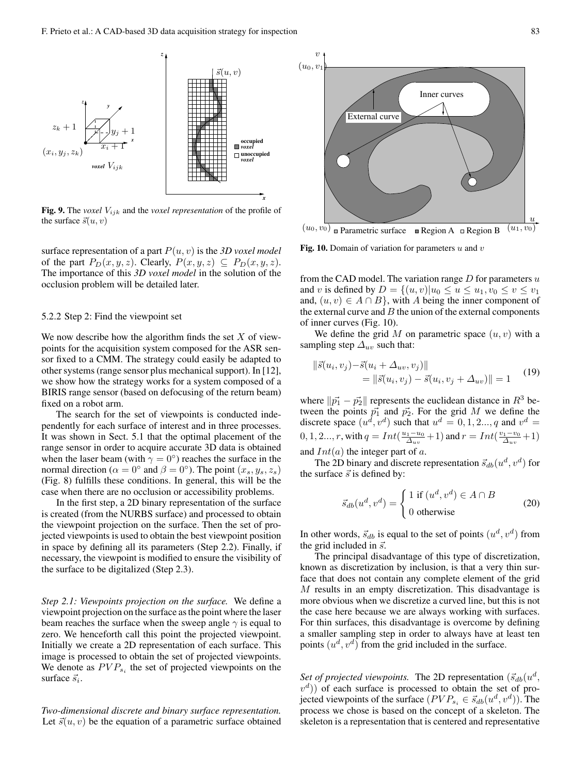

**Fig. 9.** The *voxel* Vijk and the *voxel representation* of the profile of the surface  $\vec{s}(u, v)$ 

surface representation of a part  $P(u, v)$  is the 3D voxel model of the part  $P_D(x, y, z)$ . Clearly,  $P(x, y, z) \subseteq P_D(x, y, z)$ . The importance of this *3D voxel model* in the solution of the occlusion problem will be detailed later.

#### 5.2.2 Step 2: Find the viewpoint set

We now describe how the algorithm finds the set  $X$  of viewpoints for the acquisition system composed for the ASR sensor fixed to a CMM. The strategy could easily be adapted to other systems (range sensor plus mechanical support). In [12], we show how the strategy works for a system composed of a BIRIS range sensor (based on defocusing of the return beam) fixed on a robot arm.

The search for the set of viewpoints is conducted independently for each surface of interest and in three processes. It was shown in Sect. 5.1 that the optimal placement of the range sensor in order to acquire accurate 3D data is obtained when the laser beam (with  $\gamma = 0^{\circ}$ ) reaches the surface in the normal direction ( $\alpha = 0^{\circ}$  and  $\beta = 0^{\circ}$ ). The point  $(x_s, y_s, z_s)$ (Fig. 8) fulfills these conditions. In general, this will be the case when there are no occlusion or accessibility problems.

In the first step, a 2D binary representation of the surface is created (from the NURBS surface) and processed to obtain the viewpoint projection on the surface. Then the set of projected viewpoints is used to obtain the best viewpoint position in space by defining all its parameters (Step 2.2). Finally, if necessary, the viewpoint is modified to ensure the visibility of the surface to be digitalized (Step 2.3).

*Step 2.1: Viewpoints projection on the surface.* We define a viewpoint projection on the surface as the point where the laser beam reaches the surface when the sweep angle  $\gamma$  is equal to zero. We henceforth call this point the projected viewpoint. Initially we create a 2D representation of each surface. This image is processed to obtain the set of projected viewpoints. We denote as  $PVP_{s_i}$  the set of projected viewpoints on the surface  $\vec{s}_i$ .

*Two-dimensional discrete and binary surface representation.* Let  $\vec{s}(u, v)$  be the equation of a parametric surface obtained



**Fig. 10.** Domain of variation for parameters  $u$  and  $v$ 

from the CAD model. The variation range  $D$  for parameters  $u$ and v is defined by  $D = \{(u, v)|u_0 \le u \le u_1, v_0 \le v \le v_1\}$ and,  $(u, v) \in A \cap B$ , with A being the inner component of the external curve and  $B$  the union of the external components of inner curves (Fig. 10).

We define the grid M on parametric space  $(u, v)$  with a sampling step  $\Delta_{uv}$  such that:

$$
\|\vec{s}(u_i, v_j) - \vec{s}(u_i + \Delta_{uv}, v_j)\|
$$
  
= 
$$
\|\vec{s}(u_i, v_j) - \vec{s}(u_i, v_j + \Delta_{uv})\| = 1
$$
 (19)

where  $\|\vec{p_1} - \vec{p_2}\|$  represents the euclidean distance in  $R^3$  between the points  $\vec{p_1}$  and  $\vec{p_2}$ . For the grid M we define the discrete space  $(u^{\dot{d}}, v^{\dot{d}})$  such that  $u^d = 0, 1, 2..., q$  and  $v^d =$  $0, 1, 2..., r$ , with  $q = Int(\frac{u_1 - u_0}{\Delta_{uv}} + 1)$  and  $r = Int(\frac{v_1 - v_0}{\Delta_{uv}} + 1)$ and  $Int(a)$  the integer part of a.

The 2D binary and discrete representation  $\vec{s}_{db}(u^d, v^d)$  for the surface  $\vec{s}$  is defined by:

$$
\vec{s}_{db}(u^d, v^d) = \begin{cases} 1 \text{ if } (u^d, v^d) \in A \cap B \\ 0 \text{ otherwise} \end{cases}
$$
 (20)

In other words,  $\vec{s}_{db}$  is equal to the set of points  $(u^d, v^d)$  from the grid included in  $\vec{s}$ .

The principal disadvantage of this type of discretization, known as discretization by inclusion, is that a very thin surface that does not contain any complete element of the grid M results in an empty discretization. This disadvantage is more obvious when we discretize a curved line, but this is not the case here because we are always working with surfaces. For thin surfaces, this disadvantage is overcome by defining a smaller sampling step in order to always have at least ten points  $(u^d, v^d)$  from the grid included in the surface.

Set of projected viewpoints. The 2D representation  $(\vec{s}_{db}(u^d,$  $(v<sup>d</sup>)$ ) of each surface is processed to obtain the set of projected viewpoints of the surface  $(PVP_{s_i} \in \vec{s}_{db}(u^d, v^d))$ . The process we chose is based on the concept of a skeleton. The skeleton is a representation that is centered and representative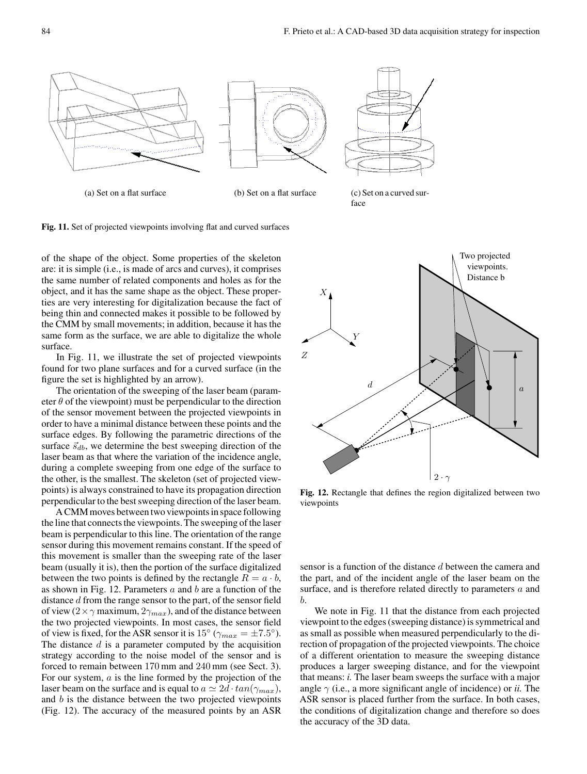

(a) Set on a flat surface (b) Set on a flat surface (c) Set on a curved sur-





of the shape of the object. Some properties of the skeleton are: it is simple (i.e., is made of arcs and curves), it comprises the same number of related components and holes as for the object, and it has the same shape as the object. These properties are very interesting for digitalization because the fact of being thin and connected makes it possible to be followed by the CMM by small movements; in addition, because it has the same form as the surface, we are able to digitalize the whole surface.

In Fig. 11, we illustrate the set of projected viewpoints found for two plane surfaces and for a curved surface (in the figure the set is highlighted by an arrow).

The orientation of the sweeping of the laser beam (parameter  $\theta$  of the viewpoint) must be perpendicular to the direction of the sensor movement between the projected viewpoints in order to have a minimal distance between these points and the surface edges. By following the parametric directions of the surface  $\vec{s}_{db}$ , we determine the best sweeping direction of the laser beam as that where the variation of the incidence angle, during a complete sweeping from one edge of the surface to the other, is the smallest. The skeleton (set of projected viewpoints) is always constrained to have its propagation direction perpendicular to the best sweeping direction of the laser beam.

A CMM moves between two viewpoints in space following the line that connects the viewpoints. The sweeping of the laser beam is perpendicular to this line. The orientation of the range sensor during this movement remains constant. If the speed of this movement is smaller than the sweeping rate of the laser beam (usually it is), then the portion of the surface digitalized between the two points is defined by the rectangle  $R = a \cdot b$ , as shown in Fig. 12. Parameters  $a$  and  $b$  are a function of the distance d from the range sensor to the part, of the sensor field of view ( $2 \times \gamma$  maximum,  $2\gamma_{max}$ ), and of the distance between the two projected viewpoints. In most cases, the sensor field of view is fixed, for the ASR sensor it is  $15° (\gamma_{max} = \pm 7.5°)$ . The distance  $d$  is a parameter computed by the acquisition strategy according to the noise model of the sensor and is forced to remain between 170 mm and 240 mm (see Sect. 3). For our system,  $\alpha$  is the line formed by the projection of the laser beam on the surface and is equal to  $a \simeq 2d \cdot tan(\gamma_{max})$ , and  $b$  is the distance between the two projected viewpoints (Fig. 12). The accuracy of the measured points by an ASR



**Fig. 12.** Rectangle that defines the region digitalized between two viewpoints

sensor is a function of the distance d between the camera and the part, and of the incident angle of the laser beam on the surface, and is therefore related directly to parameters  $a$  and b.

We note in Fig. 11 that the distance from each projected viewpoint to the edges (sweeping distance) is symmetrical and as small as possible when measured perpendicularly to the direction of propagation of the projected viewpoints. The choice of a different orientation to measure the sweeping distance produces a larger sweeping distance, and for the viewpoint that means: *i.* The laser beam sweeps the surface with a major angle  $\gamma$  (i.e., a more significant angle of incidence) or *ii*. The ASR sensor is placed further from the surface. In both cases, the conditions of digitalization change and therefore so does the accuracy of the 3D data.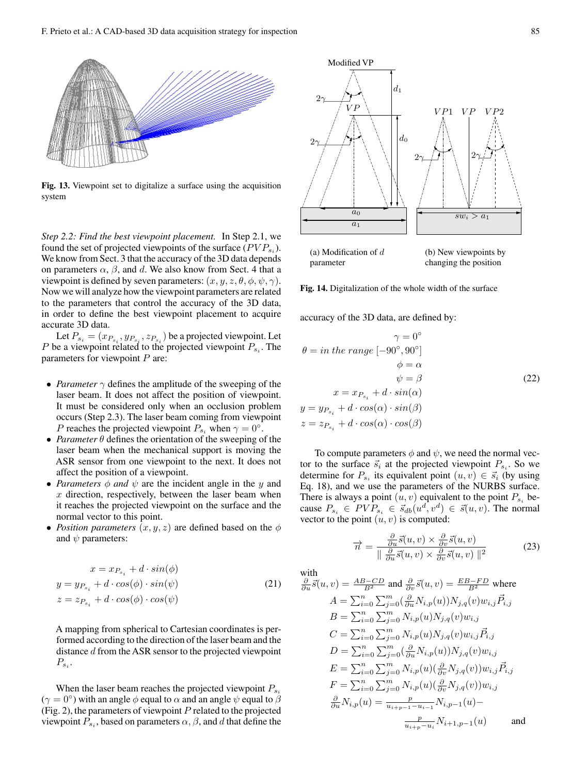

**Fig. 13.** Viewpoint set to digitalize a surface using the acquisition system

*Step 2.2: Find the best viewpoint placement.* In Step 2.1, we found the set of projected viewpoints of the surface  $(PVP_{s_i})$ . We know from Sect. 3 that the accuracy of the 3D data depends on parameters  $\alpha$ ,  $\beta$ , and d. We also know from Sect. 4 that a viewpoint is defined by seven parameters:  $(x, y, z, \theta, \phi, \psi, \gamma)$ . Now we will analyze how the viewpoint parameters are related to the parameters that control the accuracy of the 3D data, in order to define the best viewpoint placement to acquire accurate 3D data.

Let  $P_{s_i} = (x_{P_{s_i}}, y_{P_{s_i}}, z_{P_{s_i}})$  be a projected viewpoint. Let P be a viewpoint related to the projected viewpoint  $P_{s_i}$ . The parameters for viewpoint  $P$  are:

- *Parameter*  $\gamma$  defines the amplitude of the sweeping of the laser beam. It does not affect the position of viewpoint. It must be considered only when an occlusion problem occurs (Step 2.3). The laser beam coming from viewpoint P reaches the projected viewpoint  $P_{s_i}$  when  $\gamma = 0^\circ$ .
- *Parameter* θ defines the orientation of the sweeping of the laser beam when the mechanical support is moving the ASR sensor from one viewpoint to the next. It does not affect the position of a viewpoint.
- *Parameters*  $\phi$  *and*  $\psi$  are the incident angle in the y and  $x$  direction, respectively, between the laser beam when it reaches the projected viewpoint on the surface and the normal vector to this point.
- *Position parameters*  $(x, y, z)$  are defined based on the  $\phi$ and  $\psi$  parameters:

$$
x = x_{P_{s_i}} + d \cdot \sin(\phi)
$$
  
\n
$$
y = y_{P_{s_i}} + d \cdot \cos(\phi) \cdot \sin(\psi)
$$
  
\n
$$
z = z_{P_{s_i}} + d \cdot \cos(\phi) \cdot \cos(\psi)
$$
\n(21)

A mapping from spherical to Cartesian coordinates is performed according to the direction of the laser beam and the distance d from the ASR sensor to the projected viewpoint  $P_{s_i}$ .

When the laser beam reaches the projected viewpoint  $P_{s_i}$  $(\gamma = 0^{\circ})$  with an angle  $\phi$  equal to  $\alpha$  and an angle  $\psi$  equal to  $\beta$ (Fig. 2), the parameters of viewpoint  $P$  related to the projected viewpoint  $P_{s_i}$ , based on parameters  $\alpha, \beta$ , and d that define the



**Fig. 14.** Digitalization of the whole width of the surface

accuracy of the 3D data, are defined by:

$$
\gamma = 0^{\circ}
$$
  
\n
$$
\theta = in the range [-90^{\circ}, 90^{\circ}]
$$
  
\n
$$
\phi = \alpha
$$
  
\n
$$
\psi = \beta
$$
  
\n
$$
x = x_{P_{s_i}} + d \cdot sin(\alpha)
$$
  
\n
$$
y = y_{P_{s_i}} + d \cdot cos(\alpha) \cdot sin(\beta)
$$
  
\n
$$
z = z_{P_{s_i}} + d \cdot cos(\alpha) \cdot cos(\beta)
$$

To compute parameters  $\phi$  and  $\psi$ , we need the normal vector to the surface  $\vec{s}_i$  at the projected viewpoint  $P_{s_i}$ . So we determine for  $P_{s_i}$  its equivalent point  $(u, v) \in \vec{s_i}$  (by using Eq. 18), and we use the parameters of the NURBS surface. There is always a point  $(u, v)$  equivalent to the point  $P_{s_i}$  because  $P_{s_i} \in PVP_{s_i} \in \overrightarrow{s}_{db}(u^d, v^d) \in \overrightarrow{s}(u, v)$ . The normal vector to the point  $(u, v)$  is computed:

$$
\overrightarrow{n} = \frac{\frac{\partial}{\partial u}\overrightarrow{s}(u, v) \times \frac{\partial}{\partial v}\overrightarrow{s}(u, v)}{\|\frac{\partial}{\partial u}\overrightarrow{s}(u, v) \times \frac{\partial}{\partial v}\overrightarrow{s}(u, v)\|^2}
$$
(23)

with

$$
\frac{\partial}{\partial u}\vec{s}(u,v) = \frac{AB - CD}{B^2} \text{ and } \frac{\partial}{\partial v}\vec{s}(u,v) = \frac{EB - FD}{B^2} \text{ where}
$$
  
\n
$$
A = \sum_{i=0}^{n} \sum_{j=0}^{m} (\frac{\partial}{\partial u} N_{i,p}(u)) N_{j,q}(v) w_{i,j} \vec{P}_{i,j}
$$
  
\n
$$
B = \sum_{i=0}^{n} \sum_{j=0}^{m} N_{i,p}(u) N_{j,q}(v) w_{i,j}
$$
  
\n
$$
C = \sum_{i=0}^{n} \sum_{j=0}^{m} N_{i,p}(u) N_{j,q}(v) w_{i,j} \vec{P}_{i,j}
$$
  
\n
$$
D = \sum_{i=0}^{n} \sum_{j=0}^{m} (\frac{\partial}{\partial u} N_{i,p}(u)) N_{j,q}(v) w_{i,j}
$$
  
\n
$$
E = \sum_{i=0}^{n} \sum_{j=0}^{m} N_{i,p}(u) (\frac{\partial}{\partial v} N_{j,q}(v)) w_{i,j} \vec{P}_{i,j}
$$
  
\n
$$
F = \sum_{i=0}^{n} \sum_{j=0}^{m} N_{i,p}(u) (\frac{\partial}{\partial v} N_{j,q}(v)) w_{i,j}
$$
  
\n
$$
\frac{\partial}{\partial u} N_{i,p}(u) = \frac{p}{u_{i+p-1} - u_{i-1}} N_{i,p-1}(u) - \frac{p}{u_{i+p-1} - u_{i-1}} N_{i+1,p-1}(u)
$$
 and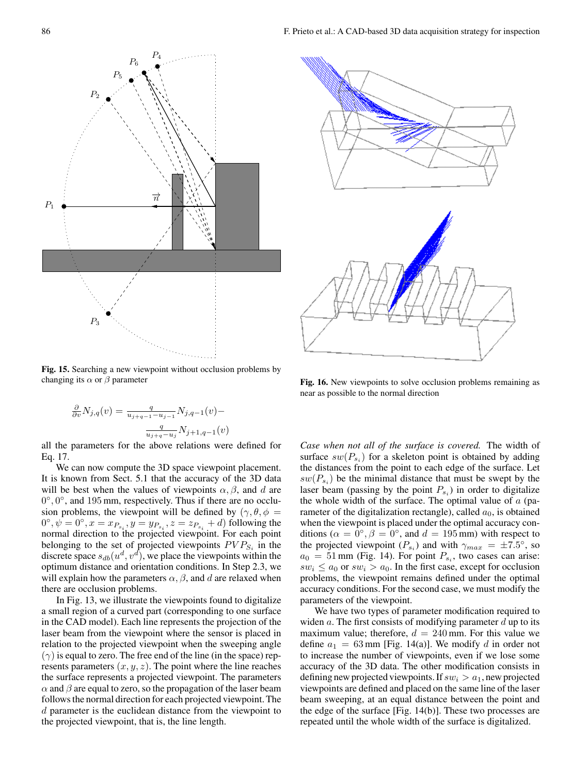



**Fig. 15.** Searching a new viewpoint without occlusion problems by changing its  $\alpha$  or  $\beta$  parameter

**Fig. 16.** New viewpoints to solve occlusion problems remaining as near as possible to the normal direction

$$
\frac{\partial}{\partial v} N_{j,q}(v) = \frac{q}{u_{j+q-1} - u_{j-1}} N_{j,q-1}(v) - \frac{q}{u_{j+q} - u_j} N_{j+1,q-1}(v)
$$

all the parameters for the above relations were defined for Eq. 17.

We can now compute the 3D space viewpoint placement. It is known from Sect. 5.1 that the accuracy of the 3D data will be best when the values of viewpoints  $\alpha$ ,  $\beta$ , and d are 0◦, 0◦, and 195 mm, respectively. Thus if there are no occlusion problems, the viewpoint will be defined by  $(\gamma, \theta, \phi =$  $0^{\circ}, \psi = 0^{\circ}, x = x_{P_{s_i}}, y = y_{P_{s_i}}, z = z_{P_{s_i}} + d$  following the normal direction to the projected viewpoint. For each point belonging to the set of projected viewpoints  $PVP_{S_i}$  in the discrete space  $s_{db}(u^d, v^d)$ , we place the viewpoints within the optimum distance and orientation conditions. In Step 2.3, we will explain how the parameters  $\alpha$ ,  $\beta$ , and d are relaxed when there are occlusion problems.

In Fig. 13, we illustrate the viewpoints found to digitalize a small region of a curved part (corresponding to one surface in the CAD model). Each line represents the projection of the laser beam from the viewpoint where the sensor is placed in relation to the projected viewpoint when the sweeping angle  $(\gamma)$  is equal to zero. The free end of the line (in the space) represents parameters  $(x, y, z)$ . The point where the line reaches the surface represents a projected viewpoint. The parameters  $\alpha$  and  $\beta$  are equal to zero, so the propagation of the laser beam follows the normal direction for each projected viewpoint. The d parameter is the euclidean distance from the viewpoint to the projected viewpoint, that is, the line length.

*Case when not all of the surface is covered.* The width of surface  $sw(P_{s_i})$  for a skeleton point is obtained by adding the distances from the point to each edge of the surface. Let  $sw(P_{s_i})$  be the minimal distance that must be swept by the laser beam (passing by the point  $P_{s_i}$ ) in order to digitalize the whole width of the surface. The optimal value of  $a$  (parameter of the digitalization rectangle), called  $a_0$ , is obtained when the viewpoint is placed under the optimal accuracy conditions ( $\alpha = 0^{\circ}, \beta = 0^{\circ}$ , and  $d = 195$  mm) with respect to the projected viewpoint  $(P_{s_i})$  and with  $\gamma_{max} = \pm 7.5^{\circ}$ , so  $a_0 = 51$  mm (Fig. 14). For point  $P_{s_i}$ , two cases can arise:  $sw_i \leq a_0$  or  $sw_i > a_0$ . In the first case, except for occlusion problems, the viewpoint remains defined under the optimal accuracy conditions. For the second case, we must modify the parameters of the viewpoint.

We have two types of parameter modification required to widen  $a$ . The first consists of modifying parameter  $d$  up to its maximum value; therefore,  $d = 240$  mm. For this value we define  $a_1 = 63$  mm [Fig. 14(a)]. We modify d in order not to increase the number of viewpoints, even if we lose some accuracy of the 3D data. The other modification consists in defining new projected viewpoints. If  $sw_i > a_1$ , new projected viewpoints are defined and placed on the same line of the laser beam sweeping, at an equal distance between the point and the edge of the surface [Fig. 14(b)]. These two processes are repeated until the whole width of the surface is digitalized.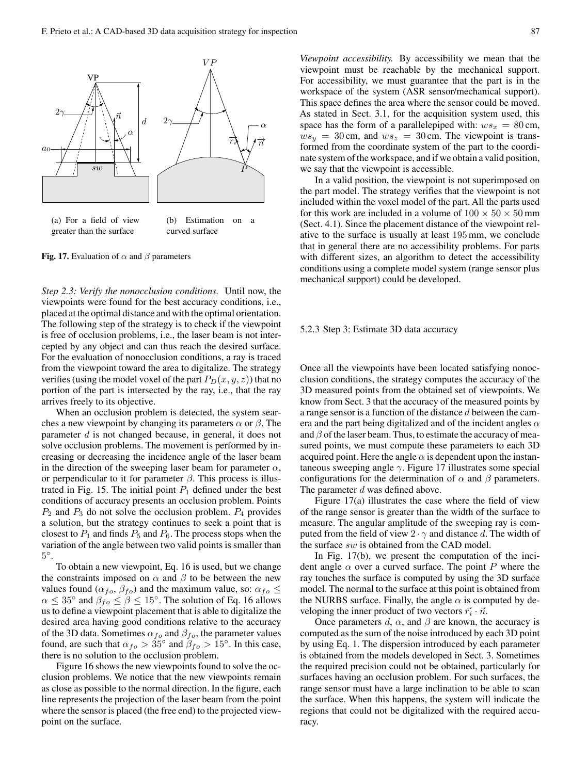

**Fig. 17.** Evaluation of  $\alpha$  and  $\beta$  parameters

*Step 2.3: Verify the nonocclusion conditions.* Until now, the viewpoints were found for the best accuracy conditions, i.e., placed at the optimal distance and with the optimal orientation. The following step of the strategy is to check if the viewpoint is free of occlusion problems, i.e., the laser beam is not intercepted by any object and can thus reach the desired surface. For the evaluation of nonocclusion conditions, a ray is traced from the viewpoint toward the area to digitalize. The strategy verifies (using the model voxel of the part  $P_D(x, y, z)$ ) that no portion of the part is intersected by the ray, i.e., that the ray arrives freely to its objective.

When an occlusion problem is detected, the system searches a new viewpoint by changing its parameters  $\alpha$  or  $\beta$ . The parameter d is not changed because, in general, it does not solve occlusion problems. The movement is performed by increasing or decreasing the incidence angle of the laser beam in the direction of the sweeping laser beam for parameter  $\alpha$ , or perpendicular to it for parameter  $\beta$ . This process is illustrated in Fig. 15. The initial point  $P_1$  defined under the best conditions of accuracy presents an occlusion problem. Points  $P_2$  and  $P_3$  do not solve the occlusion problem.  $P_4$  provides a solution, but the strategy continues to seek a point that is closest to  $P_1$  and finds  $P_5$  and  $P_6$ . The process stops when the variation of the angle between two valid points is smaller than 5◦.

To obtain a new viewpoint, Eq. 16 is used, but we change the constraints imposed on  $\alpha$  and  $\beta$  to be between the new values found ( $\alpha_{fo}$ ,  $\beta_{fo}$ ) and the maximum value, so:  $\alpha_{fo} \leq$  $\alpha \leq 35^{\circ}$  and  $\beta_{fo} \leq \beta \leq 15^{\circ}$ . The solution of Eq. 16 allows us to define a viewpoint placement that is able to digitalize the desired area having good conditions relative to the accuracy of the 3D data. Sometimes  $\alpha_{fo}$  and  $\beta_{fo}$ , the parameter values found, are such that  $\alpha_{fo} > 35^\circ$  and  $\beta_{fo} > 15^\circ$ . In this case, there is no solution to the occlusion problem.

Figure 16 shows the new viewpoints found to solve the occlusion problems. We notice that the new viewpoints remain as close as possible to the normal direction. In the figure, each line represents the projection of the laser beam from the point where the sensor is placed (the free end) to the projected viewpoint on the surface.

*Viewpoint accessibility.* By accessibility we mean that the viewpoint must be reachable by the mechanical support. For accessibility, we must guarantee that the part is in the workspace of the system (ASR sensor/mechanical support). This space defines the area where the sensor could be moved. As stated in Sect. 3.1, for the acquisition system used, this space has the form of a parallelepiped with:  $ws_x = 80 \text{ cm}$ ,  $ws_y = 30$  cm, and  $ws_z = 30$  cm. The viewpoint is transformed from the coordinate system of the part to the coordinate system of the workspace, and if we obtain a valid position, we say that the viewpoint is accessible.

In a valid position, the viewpoint is not superimposed on the part model. The strategy verifies that the viewpoint is not included within the voxel model of the part. All the parts used for this work are included in a volume of  $100 \times 50 \times 50$  mm (Sect. 4.1). Since the placement distance of the viewpoint relative to the surface is usually at least 195 mm, we conclude that in general there are no accessibility problems. For parts with different sizes, an algorithm to detect the accessibility conditions using a complete model system (range sensor plus mechanical support) could be developed.

#### 5.2.3 Step 3: Estimate 3D data accuracy

Once all the viewpoints have been located satisfying nonocclusion conditions, the strategy computes the accuracy of the 3D measured points from the obtained set of viewpoints. We know from Sect. 3 that the accuracy of the measured points by a range sensor is a function of the distance d between the camera and the part being digitalized and of the incident angles  $\alpha$ and  $\beta$  of the laser beam. Thus, to estimate the accuracy of measured points, we must compute these parameters to each 3D acquired point. Here the angle  $\alpha$  is dependent upon the instantaneous sweeping angle  $\gamma$ . Figure 17 illustrates some special configurations for the determination of  $\alpha$  and  $\beta$  parameters. The parameter d was defined above.

Figure 17(a) illustrates the case where the field of view of the range sensor is greater than the width of the surface to measure. The angular amplitude of the sweeping ray is computed from the field of view  $2 \cdot \gamma$  and distance d. The width of the surface sw is obtained from the CAD model.

In Fig. 17(b), we present the computation of the incident angle  $\alpha$  over a curved surface. The point P where the ray touches the surface is computed by using the 3D surface model. The normal to the surface at this point is obtained from the NURBS surface. Finally, the angle  $\alpha$  is computed by developing the inner product of two vectors  $\vec{r_i} \cdot \vec{n}$ .

Once parameters  $d$ ,  $\alpha$ , and  $\beta$  are known, the accuracy is computed as the sum of the noise introduced by each 3D point by using Eq. 1. The dispersion introduced by each parameter is obtained from the models developed in Sect. 3. Sometimes the required precision could not be obtained, particularly for surfaces having an occlusion problem. For such surfaces, the range sensor must have a large inclination to be able to scan the surface. When this happens, the system will indicate the regions that could not be digitalized with the required accuracy.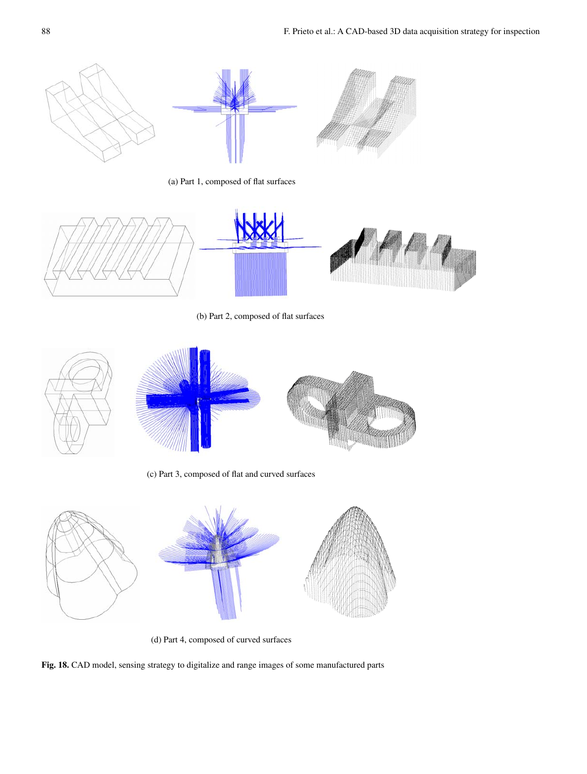

(b) Part 2, composed of flat surfaces



(c) Part 3, composed of flat and curved surfaces



(d) Part 4, composed of curved surfaces

**Fig. 18.** CAD model, sensing strategy to digitalize and range images of some manufactured parts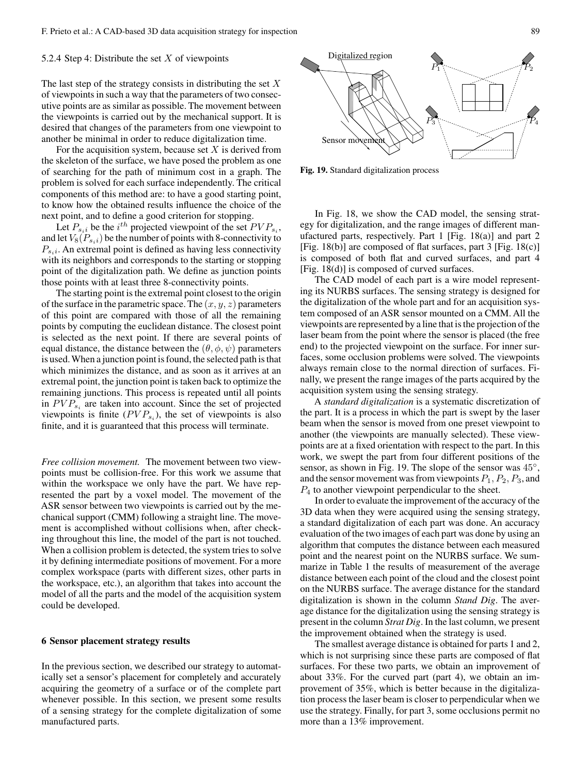#### 5.2.4 Step 4: Distribute the set  $X$  of viewpoints

The last step of the strategy consists in distributing the set  $X$ of viewpoints in such a way that the parameters of two consecutive points are as similar as possible. The movement between the viewpoints is carried out by the mechanical support. It is desired that changes of the parameters from one viewpoint to another be minimal in order to reduce digitalization time.

For the acquisition system, because set  $X$  is derived from the skeleton of the surface, we have posed the problem as one of searching for the path of minimum cost in a graph. The problem is solved for each surface independently. The critical components of this method are: to have a good starting point, to know how the obtained results influence the choice of the next point, and to define a good criterion for stopping.

Let  $P_{s_i i}$  be the  $i^{th}$  projected viewpoint of the set  $PVP_{s_i}$ , and let  $V_8(P_{s,i})$  be the number of points with 8-connectivity to  $P_{s,i}$ . An extremal point is defined as having less connectivity with its neighbors and corresponds to the starting or stopping point of the digitalization path. We define as junction points those points with at least three 8-connectivity points.

The starting point is the extremal point closest to the origin of the surface in the parametric space. The  $(x, y, z)$  parameters of this point are compared with those of all the remaining points by computing the euclidean distance. The closest point is selected as the next point. If there are several points of equal distance, the distance between the  $(\theta, \phi, \psi)$  parameters is used. When a junction point is found, the selected path is that which minimizes the distance, and as soon as it arrives at an extremal point, the junction point is taken back to optimize the remaining junctions. This process is repeated until all points in  $PVP_{s_i}$  are taken into account. Since the set of projected viewpoints is finite  $(PVP_{si})$ , the set of viewpoints is also finite, and it is guaranteed that this process will terminate.

*Free collision movement.* The movement between two viewpoints must be collision-free. For this work we assume that within the workspace we only have the part. We have represented the part by a voxel model. The movement of the ASR sensor between two viewpoints is carried out by the mechanical support (CMM) following a straight line. The movement is accomplished without collisions when, after checking throughout this line, the model of the part is not touched. When a collision problem is detected, the system tries to solve it by defining intermediate positions of movement. For a more complex workspace (parts with different sizes, other parts in the workspace, etc.), an algorithm that takes into account the model of all the parts and the model of the acquisition system could be developed.

## **6 Sensor placement strategy results**

In the previous section, we described our strategy to automatically set a sensor's placement for completely and accurately acquiring the geometry of a surface or of the complete part whenever possible. In this section, we present some results of a sensing strategy for the complete digitalization of some manufactured parts.



**Fig. 19.** Standard digitalization process

In Fig. 18, we show the CAD model, the sensing strategy for digitalization, and the range images of different manufactured parts, respectively. Part 1 [Fig. 18(a)] and part 2 [Fig. 18(b)] are composed of flat surfaces, part 3 [Fig. 18(c)] is composed of both flat and curved surfaces, and part 4 [Fig. 18(d)] is composed of curved surfaces.

The CAD model of each part is a wire model representing its NURBS surfaces. The sensing strategy is designed for the digitalization of the whole part and for an acquisition system composed of an ASR sensor mounted on a CMM. All the viewpoints are represented by a line that is the projection of the laser beam from the point where the sensor is placed (the free end) to the projected viewpoint on the surface. For inner surfaces, some occlusion problems were solved. The viewpoints always remain close to the normal direction of surfaces. Finally, we present the range images of the parts acquired by the acquisition system using the sensing strategy.

A *standard digitalization* is a systematic discretization of the part. It is a process in which the part is swept by the laser beam when the sensor is moved from one preset viewpoint to another (the viewpoints are manually selected). These viewpoints are at a fixed orientation with respect to the part. In this work, we swept the part from four different positions of the sensor, as shown in Fig. 19. The slope of the sensor was  $45^{\circ}$ , and the sensor movement was from viewpoints  $P_1$ ,  $P_2$ ,  $P_3$ , and  $P_4$  to another viewpoint perpendicular to the sheet.

In order to evaluate the improvement of the accuracy of the 3D data when they were acquired using the sensing strategy, a standard digitalization of each part was done. An accuracy evaluation of the two images of each part was done by using an algorithm that computes the distance between each measured point and the nearest point on the NURBS surface. We summarize in Table 1 the results of measurement of the average distance between each point of the cloud and the closest point on the NURBS surface. The average distance for the standard digitalization is shown in the column *Stand Dig*. The average distance for the digitalization using the sensing strategy is present in the column *Strat Dig*. In the last column, we present the improvement obtained when the strategy is used.

The smallest average distance is obtained for parts 1 and 2, which is not surprising since these parts are composed of flat surfaces. For these two parts, we obtain an improvement of about 33%. For the curved part (part 4), we obtain an improvement of 35%, which is better because in the digitalization process the laser beam is closer to perpendicular when we use the strategy. Finally, for part 3, some occlusions permit no more than a 13% improvement.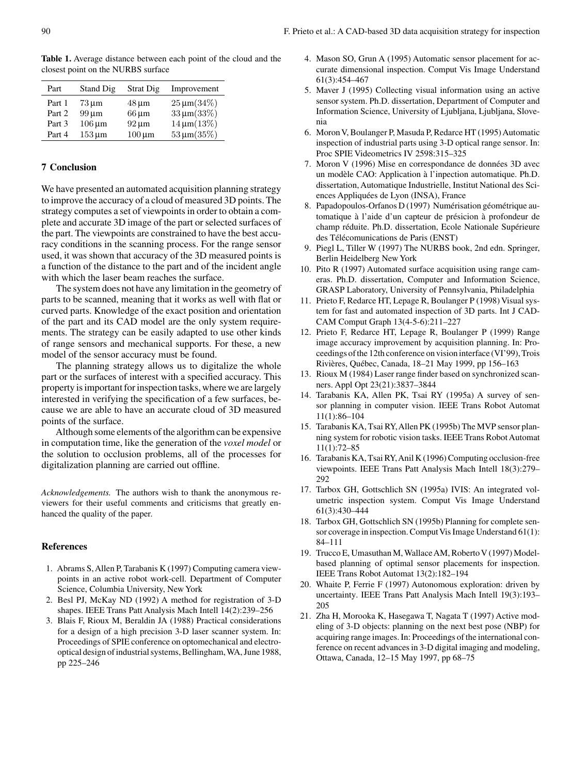**Table 1.** Average distance between each point of the cloud and the closest point on the NURBS surface

| Part   | Stand Dig                | <b>Strat Dig</b>         | Improvement                    |
|--------|--------------------------|--------------------------|--------------------------------|
| Part 1 | $73 \mu m$               | $48 \,\mathrm{\upmu m}$  | $25 \,\mathrm{\upmu m} (34\%)$ |
| Part 2 | 99 um                    | $66 \,\mathrm{\upmu m}$  | $33 \,\mu m (33\%)$            |
| Part 3 | $106 \,\mathrm{\upmu m}$ | $92 \,\mathrm{\upmu m}$  | $14 \,\mu m(13\%)$             |
| Part 4 | $153 \,\mathrm{\upmu m}$ | $100 \,\mathrm{\upmu m}$ | $53 \,\mu m(35\%)$             |

# **7 Conclusion**

We have presented an automated acquisition planning strategy to improve the accuracy of a cloud of measured 3D points. The strategy computes a set of viewpoints in order to obtain a complete and accurate 3D image of the part or selected surfaces of the part. The viewpoints are constrained to have the best accuracy conditions in the scanning process. For the range sensor used, it was shown that accuracy of the 3D measured points is a function of the distance to the part and of the incident angle with which the laser beam reaches the surface.

The system does not have any limitation in the geometry of parts to be scanned, meaning that it works as well with flat or curved parts. Knowledge of the exact position and orientation of the part and its CAD model are the only system requirements. The strategy can be easily adapted to use other kinds of range sensors and mechanical supports. For these, a new model of the sensor accuracy must be found.

The planning strategy allows us to digitalize the whole part or the surfaces of interest with a specified accuracy. This property is important for inspection tasks, where we are largely interested in verifying the specification of a few surfaces, because we are able to have an accurate cloud of 3D measured points of the surface.

Although some elements of the algorithm can be expensive in computation time, like the generation of the *voxel model* or the solution to occlusion problems, all of the processes for digitalization planning are carried out offline.

*Acknowledgements.* The authors wish to thank the anonymous reviewers for their useful comments and criticisms that greatly enhanced the quality of the paper.

## **References**

- 1. Abrams S, Allen P, Tarabanis K (1997) Computing camera viewpoints in an active robot work-cell. Department of Computer Science, Columbia University, New York
- 2. Besl PJ, McKay ND (1992) A method for registration of 3-D shapes. IEEE Trans Patt Analysis Mach Intell 14(2):239–256
- 3. Blais F, Rioux M, Beraldin JA (1988) Practical considerations for a design of a high precision 3-D laser scanner system. In: Proceedings of SPIE conference on optomechanical and electrooptical design of industrial systems, Bellingham,WA, June 1988, pp 225–246
- 4. Mason SO, Grun A (1995) Automatic sensor placement for accurate dimensional inspection. Comput Vis Image Understand 61(3):454–467
- 5. Maver J (1995) Collecting visual information using an active sensor system. Ph.D. dissertation, Department of Computer and Information Science, University of Ljubljana, Ljubljana, Slovenia
- 6. Moron V, Boulanger P, Masuda P, Redarce HT (1995) Automatic inspection of industrial parts using 3-D optical range sensor. In: Proc SPIE Videometrics IV 2598:315–325
- 7. Moron V (1996) Mise en correspondance de données 3D avec un modèle CAO: Application à l'inpection automatique. Ph.D. dissertation, Automatique Industrielle, Institut National des Sciences Appliquées de Lyon (INSA), France
- 8. Papadopoulos-Orfanos D (1997) Numérisation géométrique automatique à l'aide d'un capteur de présicion à profondeur de champ réduite. Ph.D. dissertation, Ecole Nationale Supérieure des Télécomunications de Paris (ENST)
- 9. Piegl L, Tiller W (1997) The NURBS book, 2nd edn. Springer, Berlin Heidelberg New York
- 10. Pito R (1997) Automated surface acquisition using range cameras. Ph.D. dissertation, Computer and Information Science, GRASP Laboratory, University of Pennsylvania, Philadelphia
- 11. Prieto F, Redarce HT, Lepage R, Boulanger P (1998) Visual system for fast and automated inspection of 3D parts. Int J CAD-CAM Comput Graph 13(4-5-6):211–227
- 12. Prieto F, Redarce HT, Lepage R, Boulanger P (1999) Range image accuracy improvement by acquisition planning. In: Proceedings of the 12th conference on vision interface (VI'99), Trois Rivières, Québec, Canada, 18–21 May 1999, pp 156–163
- 13. Rioux M (1984) Laser range finder based on synchronized scanners. Appl Opt 23(21):3837–3844
- 14. Tarabanis KA, Allen PK, Tsai RY (1995a) A survey of sensor planning in computer vision. IEEE Trans Robot Automat 11(1):86–104
- 15. Tarabanis KA, Tsai RY,Allen PK (1995b) The MVP sensor planning system for robotic vision tasks. IEEE Trans Robot Automat 11(1):72–85
- 16. Tarabanis KA, Tsai RY,Anil K (1996) Computing occlusion-free viewpoints. IEEE Trans Patt Analysis Mach Intell 18(3):279– 292
- 17. Tarbox GH, Gottschlich SN (1995a) IVIS: An integrated volumetric inspection system. Comput Vis Image Understand 61(3):430–444
- 18. Tarbox GH, Gottschlich SN (1995b) Planning for complete sensor coverage in inspection. Comput Vis Image Understand 61(1): 84–111
- 19. Trucco E, Umasuthan M, Wallace AM, Roberto V (1997) Modelbased planning of optimal sensor placements for inspection. IEEE Trans Robot Automat 13(2):182–194
- 20. Whaite P, Ferrie F (1997) Autonomous exploration: driven by uncertainty. IEEE Trans Patt Analysis Mach Intell 19(3):193– 205
- 21. Zha H, Morooka K, Hasegawa T, Nagata T (1997) Active modeling of 3-D objects: planning on the next best pose (NBP) for acquiring range images. In: Proceedings of the international conference on recent advances in 3-D digital imaging and modeling, Ottawa, Canada, 12–15 May 1997, pp 68–75